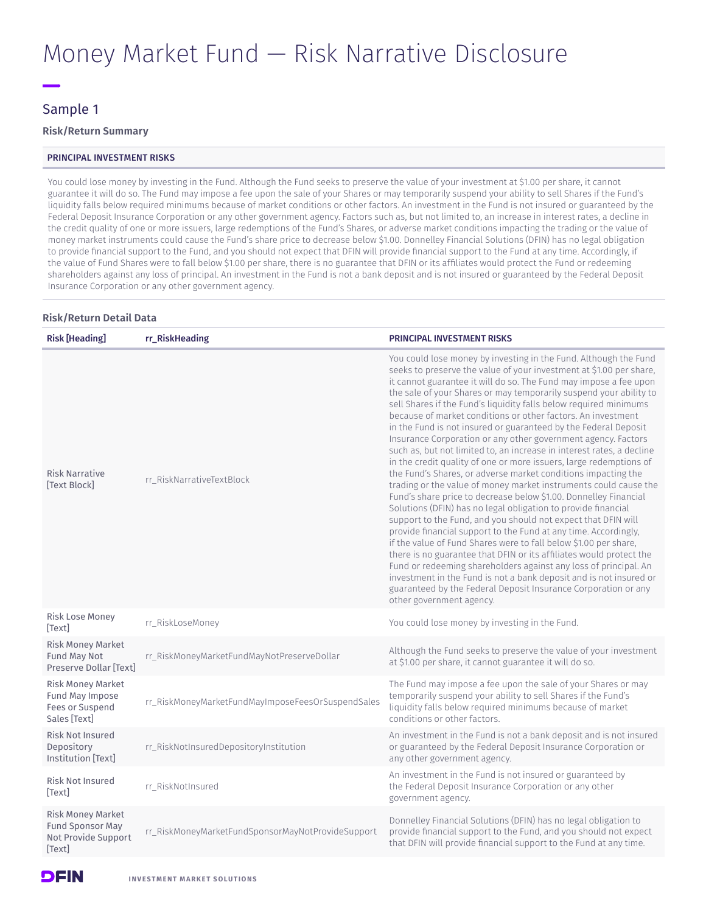# Money Market Fund — Risk Narrative Disclosure

### Sample 1

### **Risk/Return Summary**

### PRINCIPAL INVESTMENT RISKS

You could lose money by investing in the Fund. Although the Fund seeks to preserve the value of your investment at \$1.00 per share, it cannot guarantee it will do so. The Fund may impose a fee upon the sale of your Shares or may temporarily suspend your ability to sell Shares if the Fund's liquidity falls below required minimums because of market conditions or other factors. An investment in the Fund is not insured or guaranteed by the Federal Deposit Insurance Corporation or any other government agency. Factors such as, but not limited to, an increase in interest rates, a decline in the credit quality of one or more issuers, large redemptions of the Fund's Shares, or adverse market conditions impacting the trading or the value of money market instruments could cause the Fund's share price to decrease below \$1.00. Donnelley Financial Solutions (DFIN) has no legal obligation to provide financial support to the Fund, and you should not expect that DFIN will provide financial support to the Fund at any time. Accordingly, if the value of Fund Shares were to fall below \$1.00 per share, there is no guarantee that DFIN or its affiliates would protect the Fund or redeeming shareholders against any loss of principal. An investment in the Fund is not a bank deposit and is not insured or guaranteed by the Federal Deposit Insurance Corporation or any other government agency.

### **Risk/Return Detail Data**

| <b>Risk [Heading]</b>                                                                      | rr RiskHeading                                    | PRINCIPAL INVESTMENT RISKS                                                                                                                                                                                                                                                                                                                                                                                                                                                                                                                                                                                                                                                                                                                                                                                                                                                                                                                                                                                                                                                                                                                                                                                                                                                                                                                                                                                                                                                                                  |
|--------------------------------------------------------------------------------------------|---------------------------------------------------|-------------------------------------------------------------------------------------------------------------------------------------------------------------------------------------------------------------------------------------------------------------------------------------------------------------------------------------------------------------------------------------------------------------------------------------------------------------------------------------------------------------------------------------------------------------------------------------------------------------------------------------------------------------------------------------------------------------------------------------------------------------------------------------------------------------------------------------------------------------------------------------------------------------------------------------------------------------------------------------------------------------------------------------------------------------------------------------------------------------------------------------------------------------------------------------------------------------------------------------------------------------------------------------------------------------------------------------------------------------------------------------------------------------------------------------------------------------------------------------------------------------|
| <b>Risk Narrative</b><br><b>Text Blockl</b>                                                | rr RiskNarrativeTextBlock                         | You could lose money by investing in the Fund. Although the Fund<br>seeks to preserve the value of your investment at \$1.00 per share,<br>it cannot guarantee it will do so. The Fund may impose a fee upon<br>the sale of your Shares or may temporarily suspend your ability to<br>sell Shares if the Fund's liquidity falls below required minimums<br>because of market conditions or other factors. An investment<br>in the Fund is not insured or guaranteed by the Federal Deposit<br>Insurance Corporation or any other government agency. Factors<br>such as, but not limited to, an increase in interest rates, a decline<br>in the credit quality of one or more issuers, large redemptions of<br>the Fund's Shares, or adverse market conditions impacting the<br>trading or the value of money market instruments could cause the<br>Fund's share price to decrease below \$1.00. Donnelley Financial<br>Solutions (DFIN) has no legal obligation to provide financial<br>support to the Fund, and you should not expect that DFIN will<br>provide financial support to the Fund at any time. Accordingly,<br>if the value of Fund Shares were to fall below \$1.00 per share,<br>there is no guarantee that DFIN or its affiliates would protect the<br>Fund or redeeming shareholders against any loss of principal. An<br>investment in the Fund is not a bank deposit and is not insured or<br>guaranteed by the Federal Deposit Insurance Corporation or any<br>other government agency. |
| Risk Lose Money<br><b>Textl</b>                                                            | rr_RiskLoseMoney                                  | You could lose money by investing in the Fund.                                                                                                                                                                                                                                                                                                                                                                                                                                                                                                                                                                                                                                                                                                                                                                                                                                                                                                                                                                                                                                                                                                                                                                                                                                                                                                                                                                                                                                                              |
| <b>Risk Money Market</b><br><b>Fund May Not</b><br>Preserve Dollar [Text]                  | rr_RiskMoneyMarketFundMayNotPreserveDollar        | Although the Fund seeks to preserve the value of your investment<br>at \$1.00 per share, it cannot guarantee it will do so.                                                                                                                                                                                                                                                                                                                                                                                                                                                                                                                                                                                                                                                                                                                                                                                                                                                                                                                                                                                                                                                                                                                                                                                                                                                                                                                                                                                 |
| <b>Risk Money Market</b><br>Fund May Impose<br>Fees or Suspend<br>Sales [Text]             | rr_RiskMoneyMarketFundMayImposeFeesOrSuspendSales | The Fund may impose a fee upon the sale of your Shares or may<br>temporarily suspend your ability to sell Shares if the Fund's<br>liquidity falls below required minimums because of market<br>conditions or other factors.                                                                                                                                                                                                                                                                                                                                                                                                                                                                                                                                                                                                                                                                                                                                                                                                                                                                                                                                                                                                                                                                                                                                                                                                                                                                                 |
| <b>Risk Not Insured</b><br>Depository<br><b>Institution [Text]</b>                         | rr_RiskNotInsuredDepositoryInstitution            | An investment in the Fund is not a bank deposit and is not insured<br>or guaranteed by the Federal Deposit Insurance Corporation or<br>any other government agency.                                                                                                                                                                                                                                                                                                                                                                                                                                                                                                                                                                                                                                                                                                                                                                                                                                                                                                                                                                                                                                                                                                                                                                                                                                                                                                                                         |
| <b>Risk Not Insured</b><br>[Text]                                                          | rr RiskNotInsured                                 | An investment in the Fund is not insured or guaranteed by<br>the Federal Deposit Insurance Corporation or any other<br>government agency.                                                                                                                                                                                                                                                                                                                                                                                                                                                                                                                                                                                                                                                                                                                                                                                                                                                                                                                                                                                                                                                                                                                                                                                                                                                                                                                                                                   |
| <b>Risk Money Market</b><br><b>Fund Sponsor May</b><br>Not Provide Support<br><b>Textl</b> | rr_RiskMoneyMarketFundSponsorMayNotProvideSupport | Donnelley Financial Solutions (DFIN) has no legal obligation to<br>provide financial support to the Fund, and you should not expect<br>that DFIN will provide financial support to the Fund at any time.                                                                                                                                                                                                                                                                                                                                                                                                                                                                                                                                                                                                                                                                                                                                                                                                                                                                                                                                                                                                                                                                                                                                                                                                                                                                                                    |